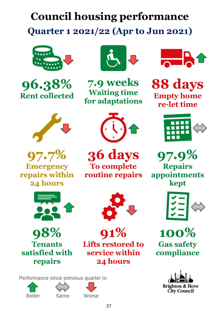## **Council housing performance Quarter 1 2021/22 (Apr to Jun 2021)**







**7.9 weeks Waiting time for adaptations**



**88 days Empty home re-let time**





**36 days To complete routine repairs**



**97.9% Repairs appointments kept**



**100% Gas safety compliance**



**97.7%**

**Emergency repairs within 24 hours**



**98% Tenants satisfied with repairs**

**91% Lifts restored to service within 24 hours**

Performance since previous quarter is:





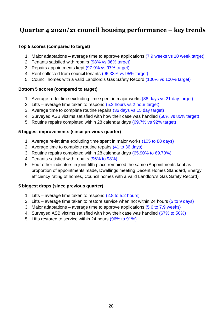#### **Quarter 4 2020/21 council housing performance – key trends**

#### **Top 5 scores (compared to target)**

- 1. Major adaptations average time to approve applications (7.9 weeks vs 10 week target)
- 2. Tenants satisfied with repairs (98% vs 96% target)
- 3. Repairs appointments kept (97.9% vs 97% target)
- 4. Rent collected from council tenants (96.38% vs 95% target)
- 5. Council homes with a valid Landlord's Gas Safety Record (100% vs 100% target)

#### **Bottom 5 scores (compared to target)**

- 1. Average re-let time excluding time spent in major works (88 days vs 21 day target)
- 2. Lifts average time taken to respond (5.2 hours vs 2 hour target)
- 3. Average time to complete routine repairs (36 days vs 15 day target)
- 4. Surveyed ASB victims satisfied with how their case was handled (50% vs 85% target)
- 5. Routine repairs completed within 28 calendar days (69.7% vs 92% target)

#### **5 biggest improvements (since previous quarter)**

- 1. Average re-let time excluding time spent in major works (105 to 88 days)
- 2. Average time to complete routine repairs (41 to 36 days)
- 3. Routine repairs completed within 28 calendar days (65.90% to 69.70%)
- 4. Tenants satisfied with repairs (96% to 98%)
- 5. Four other indicators in joint fifth place remained the same (Appointments kept as proportion of appointments made, Dwellings meeting Decent Homes Standard, Energy efficiency rating of homes, Council homes with a valid Landlord's Gas Safety Record)

#### **5 biggest drops (since previous quarter)**

- 1. Lifts average time taken to respond (2.8 to 5.2 hours)
- 2. Lifts average time taken to restore service when not within 24 hours (5 to 9 days)
- 3. Major adaptations average time to approve applications (5.6 to 7.9 weeks)
- 4. Surveyed ASB victims satisfied with how their case was handled (67% to 50%)
- 5. Lifts restored to service within 24 hours (96% to 91%)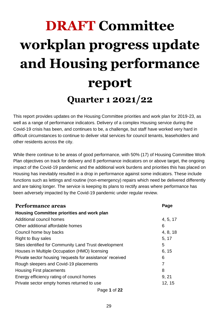# **DRAFT Committee workplan progress update and Housing performance report Quarter 1 2021/22**

This report provides updates on the Housing Committee priorities and work plan for 2019-23, as well as a range of performance indicators. Delivery of a complex Housing service during the Covid-19 crisis has been, and continues to be, a challenge, but staff have worked very hard in difficult circumstances to continue to deliver vital services for council tenants, leaseholders and other residents across the city.

While there continue to be areas of good performance, with 50% (17) of Housing Committee Work Plan objectives on track for delivery and 8 performance indicators on or above target, the ongoing impact of the Covid-19 pandemic and the additional work burdens and priorities this has placed on Housing has inevitably resulted in a drop in performance against some indicators. These include functions such as lettings and routine (non-emergency) repairs which need be delivered differently and are taking longer. The service is keeping its plans to rectify areas where performance has been adversely impacted by the Covid-19 pandemic under regular review.

| <b>Performance areas</b>                                  | Page     |
|-----------------------------------------------------------|----------|
| <b>Housing Committee priorities and work plan</b>         |          |
| Additional council homes                                  | 4, 5, 17 |
| Other additional affordable homes                         | 6        |
| Council home buy backs                                    | 4, 8, 18 |
| <b>Right to Buy sales</b>                                 | 5, 17    |
| Sites identified for Community Land Trust development     | 5        |
| Houses in Multiple Occupation (HMO) licensing             | 6, 15    |
| Private sector housing 'requests for assistance' received | 6        |
| Rough sleepers and Covid-19 placements                    | 7        |
| <b>Housing First placements</b>                           | 8        |
| Energy efficiency rating of council homes                 | 9, 21    |
| Private sector empty homes returned to use                | 12, 15   |
| Page 1 of 22                                              |          |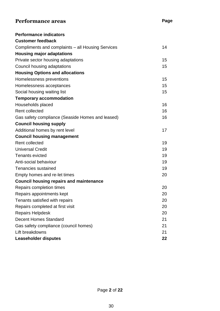#### **Performance areas Page**

| <b>Performance indicators</b>                     |    |
|---------------------------------------------------|----|
| <b>Customer feedback</b>                          |    |
| Compliments and complaints – all Housing Services | 14 |
| <b>Housing major adaptations</b>                  |    |
| Private sector housing adaptations                | 15 |
| Council housing adaptations                       | 15 |
| <b>Housing Options and allocations</b>            |    |
| Homelessness preventions                          | 15 |
| Homelessness acceptances                          | 15 |
| Social housing waiting list                       | 15 |
| <b>Temporary accommodation</b>                    |    |
| Households placed                                 | 16 |
| Rent collected                                    | 16 |
| Gas safety compliance (Seaside Homes and leased)  | 16 |
| <b>Council housing supply</b>                     |    |
| Additional homes by rent level                    | 17 |
| <b>Council housing management</b>                 |    |
| <b>Rent collected</b>                             | 19 |
| <b>Universal Credit</b>                           | 19 |
| <b>Tenants evicted</b>                            | 19 |
| Anti-social behaviour                             | 19 |
| Tenancies sustained                               | 19 |
| Empty homes and re-let times                      | 20 |
| <b>Council housing repairs and maintenance</b>    |    |
| Repairs completion times                          | 20 |
| Repairs appointments kept                         | 20 |
| Tenants satisfied with repairs                    | 20 |
| Repairs completed at first visit                  | 20 |
| <b>Repairs Helpdesk</b>                           | 20 |
| <b>Decent Homes Standard</b>                      | 21 |
| Gas safety compliance (council homes)             | 21 |
| Lift breakdowns                                   | 21 |
| <b>Leaseholder disputes</b>                       | 22 |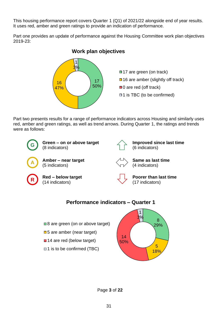This housing performance report covers Quarter 1 (Q1) of 2021/22 alongside end of year results. It uses red, amber and green ratings to provide an indication of performance.

Part one provides an update of performance against the Housing Committee work plan objectives 2019-23:

#### **Work plan objectives**



Part two presents results for a range of performance indicators across Housing and similarly uses red, amber and green ratings, as well as trend arrows. During Quarter 1, the ratings and trends were as follows:



- □5 are amber (near target)
- ■14 are red (below target)
- □1 is to be confirmed (TBC)



Page **3** of **22**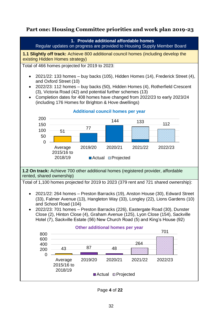#### **Part one: Housing Committee priorities and work plan 2019-23**



Page **4** of **22**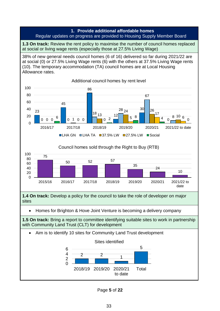#### **1. Provide additional affordable homes**  Regular updates on progress are provided to Housing Supply Member Board

**1.3 On track:** Review the rent policy to maximise the number of council homes replaced at social or living wage rents (especially those at 27.5% Living Wage)

38% of new general needs council homes (6 of 16) delivered so far during 2021/22 are at social (0) or 27.5% Living Wage rents (6) with the others at 37.5% Living Wage rents (10). The temporary accommodation (TA) council homes are at Local Housing Allowance rates.



Page **5** of **22**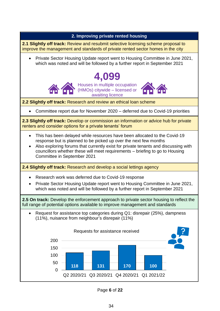

Page **6** of **22**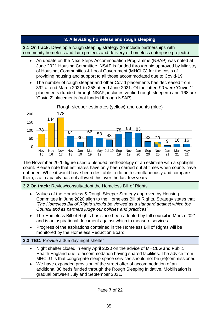#### **3.1 On track:** Develop a rough sleeping strategy (to include partnerships with community homeless and faith projects and delivery of homeless enterprise projects) • An update on the Next Steps Accommodation Programme (NSAP) was noted at June 2021 Housing Committee. NSAP is funded through bid approved by Ministry of Housing, Communities & Local Government (MHCLG) for the costs of providing housing and support to all those accommodated due to Covid-19 The number of rough sleeper and other Covid placements has decreased from 392 at end March 2021 to 258 at end June 2021. Of the latter, 90 were 'Covid 1' placements (funded through NSAP, includes verified rough sleepers) and 168 are 'Covid 2' placements (not funded through NSAP) The November 2020 figure used a blended methodology of an estimate with a spotlight count. Please note that estimates have only been carried out at times when counts have not been. While it would have been desirable to do both simultaneously and compare them, staff capacity has not allowed this over the last few years **3.2 On track:** Review/consult/adopt the Homeless Bill of Rights • Values of the Homeless & Rough Sleeper Strategy approved by Housing Committee in June 2020 align to the Homeless Bill of Rights. Strategy states that *'The Homeless Bill of Rights should be viewed as a standard against which the Council and its partners judge our policies and practices'* • The Homeless Bill of Rights has since been adopted by full council in March 2021 and is an aspirational document against which to measure services • Progress of the aspirations contained in the Homeless Bill of Rights will be monitored by the Homeless Reduction Board **3.3 TBC:** Provide a 365 day night shelter • Night shelter closed in early April 2020 on the advice of MHCLG and Public Health England due to accommodation having shared facilities. The advice from MHCLG is that congregate sleep space services should not be (re)commissioned • We have expanded provision of the street offer of accommodation of an additional 30 beds funded through the Rough Sleeping Initiative. Mobilisation is gradual between July and September 2021. 78 144 178 64 30  $\frac{66}{1}$  53 43 78 88 83 32 29 9 16 16  $\Omega$ 50 100 150 200 Nov 15 Nov 16 Nov 17 Nov 18 Jan 19 Mar 19 May Jul 19 Sep 19 19 Nov 19 Jan 20 Sep 20 Nov 20 Jan 21 Mar 21 May 21 Rough sleeper estimates (yellow) and counts (blue)

**3. Alleviating homeless and rough sleeping**

Page **7** of **22**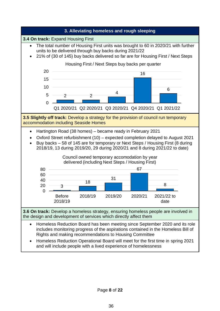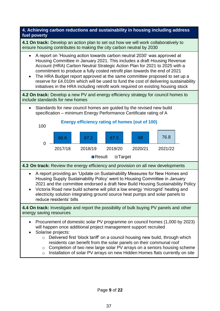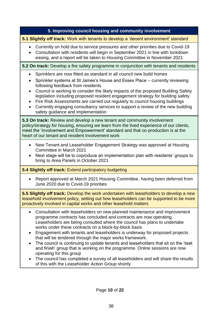#### **5. Improving council housing and community involvement**

**5.1 Slightly off track:** Work with tenants to develop a 'decent environment' standard

• Currently on hold due to service pressures and other priorities due to Covid-19 • Consultation with residents will begin in September 2021 in line with lockdown easing, and a report will be taken to Housing Committee in November 2021

**5.2 On track:** Develop a fire safety programme in conjunction with tenants and residents

- Sprinklers are now fitted as standard in all council new build homes
- Sprinkler systems at St James's House and Essex Place currently reviewing following feedback from residents
- Council is working to consider the likely impacts of the proposed Building Safety legislation including proposed resident engagement strategy for building safety
- Fire Risk Assessments are carried out regularly to council housing buildings
- Currently engaging consultancy services to support a review of the new building safety guidance and implementation

**5.3 On track:** Review and develop a new tenant and community involvement policy/strategy for housing, ensuring we learn from the lived experience of our clients, meet the 'Involvement and Empowerment' standard and that co-production is at the heart of our tenant and resident involvement work

- New Tenant and Leaseholder Engagement Strategy was approved at Housing Committee in March 2021
- Next stage will be to coproduce an implementation plan with residents' groups to bring to Area Panels in October 2021

**5.4 Slightly off track:** Extend participatory budgeting

• Report approved at March 2021 Housing Committee, having been deferred from June 2020 due to Covid-19 priorities

**5.5 Slightly off track:** Develop the work undertaken with leaseholders to develop a new leasehold involvement policy, setting out how leaseholders can be supported to be more proactively involved in capital works and other leasehold matters

- Consultation with leaseholders on new planned maintenance and improvement programme contracts has concluded and contracts are now operating. Leaseholders are being consulted where the council has plans to undertake works under these contracts on a block-by-block basis
- Engagement with tenants and leaseholders is underway for proposed projects that will be tendered through the major works framework.
- The council is continuing to update tenants and leaseholders that sit on the 'task and finish' group that is working on the programme. Online sessions are now operating for this group
- The council has completed a survey of all leaseholders and will share the results of this with the Leaseholder Action Group shortly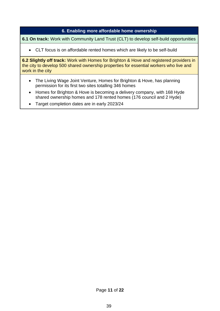#### **6. Enabling more affordable home ownership**

**6.1 On track:** Work with Community Land Trust (CLT) to develop self-build opportunities

• CLT focus is on affordable rented homes which are likely to be self-build

**6.2 Slightly off track:** Work with Homes for Brighton & Hove and registered providers in the city to develop 500 shared ownership properties for essential workers who live and work in the city

- The Living Wage Joint Venture, Homes for Brighton & Hove, has planning permission for its first two sites totalling 346 homes
- Homes for Brighton & Hove is becoming a delivery company, with 168 Hyde shared ownership homes and 178 rented homes (176 council and 2 Hyde)
- Target completion dates are in early 2023/24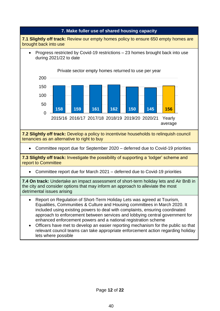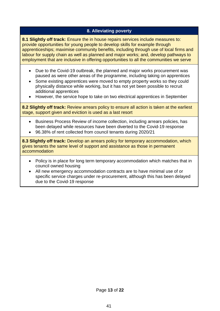#### **8. Alleviating poverty**

**8.1 Slightly off track:** Ensure the in house repairs services include measures to: provide opportunities for young people to develop skills for example through apprenticeships; maximise community benefits, including through use of local firms and labour for supply chain as well as planned and major works; and, develop pathways to employment that are inclusive in offering opportunities to all the communities we serve

- Due to the Covid-19 outbreak, the planned and major works procurement was paused as were other areas of the programme, including taking on apprentices
- Some existing apprentices were moved to empty property works so they could physically distance while working, but it has not yet been possible to recruit additional apprentices
- However, the service hope to take on two electrical apprentices in September

**8.2 Slightly off track:** Review arrears policy to ensure all action is taken at the earliest stage, support given and eviction is used as a last resort

- Business Process Review of income collection, including arrears policies, has been delayed while resources have been diverted to the Covid-19 response
- 96.38% of rent collected from council tenants during 2020/21

**8.3 Slightly off track:** Develop an arrears policy for temporary accommodation, which gives tenants the same level of support and assistance as those in permanent accommodation

- Policy is in place for long term temporary accommodation which matches that in council owned housing
- All new emergency accommodation contracts are to have minimal use of or specific service charges under re-procurement, although this has been delayed due to the Covid-19 response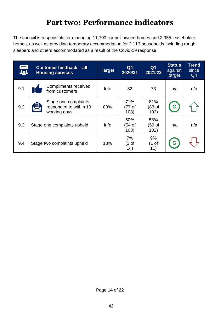### **Part two: Performance indicators**

The council is responsible for managing 11,700 council owned homes and 2,355 leaseholder homes, as well as providing temporary accommodation for 2,113 households including rough sleepers and others accommodated as a result of the Covid-19 response

| 界   | Customer feedback - all<br><b>Housing services</b>             | <b>Target</b> | Q4<br>2020/21         | Q <sub>1</sub><br>2021/22       | <b>Status</b><br>against<br>target | <b>Trend</b><br>since<br>Q <sub>4</sub> |
|-----|----------------------------------------------------------------|---------------|-----------------------|---------------------------------|------------------------------------|-----------------------------------------|
| 9.1 | Compliments received<br>from customers                         | Info          | 82                    | 73                              | n/a                                | n/a                                     |
| 9.2 | Stage one complaints<br>responded to within 10<br>working days | 80%           | 71%<br>(77 of<br>108) | 81%<br>(83 of<br>102)           | G                                  |                                         |
| 9.3 | Stage one complaints upheld                                    | Info          | 50%<br>(54 of<br>108) | 58%<br>(59 of<br>102)           | n/a                                | n/a                                     |
| 9.4 | Stage two complaints upheld                                    | 18%           | 7%<br>(1 of<br>14)    | 9%<br>(1 <sub>of</sub> )<br>11) | G                                  |                                         |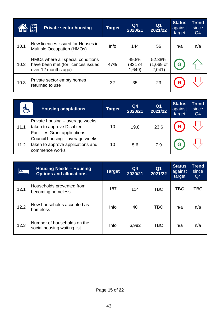|      | 熠<br><b>Private sector housing</b>                                                             | <b>Target</b> | Q <sub>4</sub><br>2020/21  | Q <sub>1</sub><br>2021/22       | <b>Status</b><br>against<br>target | <b>Trend</b><br>since<br>Q <sub>4</sub> |
|------|------------------------------------------------------------------------------------------------|---------------|----------------------------|---------------------------------|------------------------------------|-----------------------------------------|
| 10.1 | New licences issued for Houses in<br>Multiple Occupation (HMOs)                                | Info          | 144                        | 56                              | n/a                                | n/a                                     |
| 10.2 | HMOs where all special conditions<br>have been met (for licences issued<br>over 12 months ago) | 47%           | 49.8%<br>(821 of<br>1,649) | 52.38%<br>$(1,069$ of<br>2,041) | G                                  |                                         |
| 10.3 | Private sector empty homes<br>returned to use                                                  | 32            | 35                         | 23                              | R                                  |                                         |

|      | <b>Housing adaptations</b>                                                                           | <b>Target</b> | Q <sub>4</sub><br>2020/21 | Q <sub>1</sub><br>2021/22 | <b>Status</b><br>against<br>target | Trend<br>since<br>Q <sub>4</sub> |
|------|------------------------------------------------------------------------------------------------------|---------------|---------------------------|---------------------------|------------------------------------|----------------------------------|
| 11.1 | Private housing – average weeks<br>taken to approve Disabled<br><b>Facilities Grant applications</b> | 10            | 19.8                      | 23.6                      | $\mathsf{R}$                       |                                  |
| 11.2 | Council housing - average weeks<br>taken to approve applications and<br>commence works               | 10            | 5.6                       | 7.9                       |                                    |                                  |

| <u>loa</u> | <b>Housing Needs - Housing</b><br><b>Options and allocations</b> | <b>Target</b> | Q <sub>4</sub><br>2020/21 | Q <sub>1</sub><br>2021/22 | <b>Status</b><br>against<br>target | <b>Trend</b><br>since<br>Q4 |
|------------|------------------------------------------------------------------|---------------|---------------------------|---------------------------|------------------------------------|-----------------------------|
| 12.1       | Households prevented from<br>becoming homeless                   | 187           | 114                       | <b>TBC</b>                | <b>TBC</b>                         | TBC                         |
| 12.2       | New households accepted as<br>homeless                           | Info          | 40                        | <b>TBC</b>                | n/a                                | n/a                         |
| 12.3       | Number of households on the<br>social housing waiting list       | Info          | 6,982                     | <b>TBC</b>                | n/a                                | n/a                         |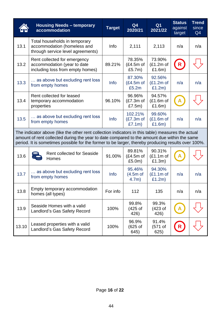|       | <b>Housing Needs - temporary</b><br>accommodation                                                                                                                                                                                                                                                      | <b>Target</b> | Q <sub>4</sub><br>2020/21              | Q <sub>1</sub><br>2021/22        | <b>Status</b><br>against<br>target | <b>Trend</b><br>since<br>Q <sub>4</sub> |
|-------|--------------------------------------------------------------------------------------------------------------------------------------------------------------------------------------------------------------------------------------------------------------------------------------------------------|---------------|----------------------------------------|----------------------------------|------------------------------------|-----------------------------------------|
| 13.1  | Total households in temporary<br>accommodation (homeless and<br>through service level agreements)                                                                                                                                                                                                      | Info          | 2,111                                  | 2,113                            | n/a                                | n/a                                     |
| 13.2  | Rent collected for emergency<br>accommodation (year to date<br>including loss from empty homes)                                                                                                                                                                                                        | 89.21%        | 78.35%<br>$(E4.5m$ of<br>£5.7m)        | 73.90%<br>$(E1.2m$ of<br>£1.6m)  |                                    |                                         |
| 13.3  | as above but excluding rent loss<br>from empty homes                                                                                                                                                                                                                                                   | Info          | 87.30%<br>(E4.5m of<br>£5.2m           | 92.56%<br>$(E1.2m$ of<br>£1.2m)  | n/a                                | n/a                                     |
| 13.4  | Rent collected for leased<br>temporary accommodation<br>properties                                                                                                                                                                                                                                     | 96.10%        | 96.96%<br>$(E7.3m$ of<br>£7.5m)        | 94.57%<br>(E1.6m of<br>£1.6m)    |                                    |                                         |
| 13.5  | as above but excluding rent loss<br>from empty homes                                                                                                                                                                                                                                                   | Info          | 102.21%<br>$(E7.3m$ of<br>£7.1m)       | 99.60%<br>(E1.6m of<br>£1.6m)    | n/a                                | n/a                                     |
|       | The indicator above (like the other rent collection indicators in this table) measures the actual<br>amount of rent collected during the year to date compared to the amount due within the same<br>period. It is sometimes possible for the former to be larger, thereby producing results over 100%. |               |                                        |                                  |                                    |                                         |
| 13.6  | <b>Rent collected for Seaside</b><br>Homes                                                                                                                                                                                                                                                             | 91.00%        | 89.81%<br>(£4.5m of<br>£5.0m)          | 90.31%<br>$(E1.1m$ of<br>£1.3m)  |                                    |                                         |
| 13.7  | as above but excluding rent loss<br>from empty homes                                                                                                                                                                                                                                                   | Info          | 95.46%<br>(4.5m of<br>4.7 <sub>m</sub> | 94.30%<br>$(E1.1m)$ of<br>£1.2m) | n/a                                | n/a                                     |
| 13.8  | Empty temporary accommodation<br>homes (all types)                                                                                                                                                                                                                                                     | For info      | 112                                    | 135                              | n/a                                | n/a                                     |
| 13.9  | Seaside Homes with a valid<br>Landlord's Gas Safety Record                                                                                                                                                                                                                                             | 100%          | 99.8%<br>$(425$ of<br>426)             | 99.3%<br>(423 of<br>426)         |                                    |                                         |
| 13.10 | Leased properties with a valid<br>Landlord's Gas Safety Record                                                                                                                                                                                                                                         | 100%          | 96.9%<br>(625 of<br>645)               | 91.4%<br>(571 of<br>625)         | R                                  |                                         |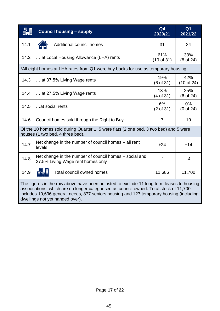| 畾    | <b>Council housing - supply</b>                                                                                                                                                                                                                                                                                  | Q <sub>4</sub><br>2020/21 | Q <sub>1</sub><br>2021/22 |
|------|------------------------------------------------------------------------------------------------------------------------------------------------------------------------------------------------------------------------------------------------------------------------------------------------------------------|---------------------------|---------------------------|
| 14.1 | Additional council homes                                                                                                                                                                                                                                                                                         | 31                        | 24                        |
| 14.2 | at Local Housing Allowance (LHA) rents                                                                                                                                                                                                                                                                           | 61%<br>(19 of 31)         | 33%<br>$(8$ of 24)        |
|      | *All eight homes at LHA rates from Q1 were buy backs for use as temporary housing                                                                                                                                                                                                                                |                           |                           |
| 14.3 | at 37.5% Living Wage rents                                                                                                                                                                                                                                                                                       | 19%<br>(6 of 31)          | 42%<br>$(10$ of 24)       |
| 14.4 | at 27.5% Living Wage rents                                                                                                                                                                                                                                                                                       | 13%<br>(4 of 31)          | 25%<br>$(6$ of 24)        |
| 14.5 | at social rents                                                                                                                                                                                                                                                                                                  | 6%<br>(2 of 31)           | $0\%$<br>$(0$ of 24 $)$   |
| 14.6 | Council homes sold through the Right to Buy                                                                                                                                                                                                                                                                      | $\overline{7}$            | 10                        |
|      | Of the 10 homes sold during Quarter 1, 5 were flats (2 one bed, 3 two bed) and 5 were<br>houses (1 two bed, 4 three bed).                                                                                                                                                                                        |                           |                           |
| 14.7 | Net change in the number of council homes $-$ all rent<br>levels                                                                                                                                                                                                                                                 | $+24$                     | $+14$                     |
| 14.8 | Net change in the number of council homes – social and<br>27.5% Living Wage rent homes only                                                                                                                                                                                                                      | $-1$                      | $-4$                      |
| 14.9 | H.<br>Total council owned homes                                                                                                                                                                                                                                                                                  | 11,686                    | 11,700                    |
|      | The figures in the row above have been adjusted to exclude 11 long term leases to housing<br>assoocations, which are no longer categorised as council owned. Total stock of 11,700<br>includes 10,696 general needs, 877 seniors housing and 127 temporary housing (including<br>dwellings not yet handed over). |                           |                           |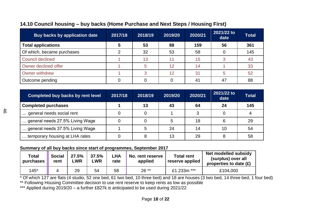| Buy backs by application date | 2017/18 | 2018/19 | 2019/20 | 2020/21 | 2021/22 to<br>date | <b>Total</b> |
|-------------------------------|---------|---------|---------|---------|--------------------|--------------|
| <b>Total applications</b>     | 5       | 53      | 88      | 159     | 56                 | 361          |
| Of which, became purchases    | 2       | 32      | 53      | 58      |                    | 145          |
| Council declined              |         | 13      | 11      | 15      |                    | 43           |
| Owner declined offer          |         | 5       | 12      | 14      |                    | 33           |
| <b>Owner withdrew</b>         |         | 3       | 12      | 31      | 5                  | 52           |
| Outcome pending               |         | 0       |         | 41      | 47                 | 88           |

#### **14.10 Council housing – buy backs (Home Purchase and Next Steps / Housing First)**

| <b>Completed buy backs by rent level</b> | 2017/18 | 2018/19 | 2019/20 | 2020/21 | 2021/22 to<br>date | <b>Total</b> |
|------------------------------------------|---------|---------|---------|---------|--------------------|--------------|
| <b>Completed purchases</b>               |         | 13      | 43      | 64      | 24                 | 145          |
| general needs social rent                |         |         |         |         |                    |              |
| general needs 27.5% Living Wage          |         |         | 5       | 18      | 6                  | 29           |
| general needs 37.5% Living Wage          |         | 5       | 24      | 14      | 10                 | 54           |
| temporary housing at LHA rates           |         | 8       | 13      | 29      | 8                  | 58           |

#### **Summary of all buy backs since start of programmes, September 2017**

| Total<br>purchases | <b>Social</b><br>rent | 27.5%<br>_WR | 37.5%<br>_WR | LHA<br>rate | No. rent reserve<br>applied | <b>Total rent</b><br>reserve applied | Net modelled subsidy<br>(surplus) over all<br>properties to date $(E)$ |
|--------------------|-----------------------|--------------|--------------|-------------|-----------------------------|--------------------------------------|------------------------------------------------------------------------|
| $145*$             |                       | 29           | 54           | 58          | 26 **                       | £1.233m ***                          | £104,000                                                               |

\* Of which 127 are flats (4 studio, 52 one bed, 61 two bed, 10 three bed) and 18 are houses (3 two bed, 14 three bed, 1 four bed) \*\* Following Housing Committee decision to use rent reserve to keep rents as low as possible

\*\*\* Applied during 2019/20 - a further £827k is anticipated to be used during 2021/22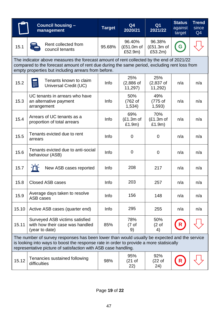|                                                                                                                                                                                                                                                 | <b>Council housing -</b><br>management                                                                                                                                                                                                                    | <b>Target</b> | Q <sub>4</sub><br>2020/21       | Q <sub>1</sub><br>2021/22        | <b>Status</b><br>against<br>target | <b>Trend</b><br>since<br>Q4 |  |  |  |
|-------------------------------------------------------------------------------------------------------------------------------------------------------------------------------------------------------------------------------------------------|-----------------------------------------------------------------------------------------------------------------------------------------------------------------------------------------------------------------------------------------------------------|---------------|---------------------------------|----------------------------------|------------------------------------|-----------------------------|--|--|--|
| 15.1                                                                                                                                                                                                                                            | Rent collected from<br>council tenants                                                                                                                                                                                                                    | 95.68%        | 96.40%<br>(£51.0m of<br>£52.9m) | 96.38%<br>(£51.3m of<br>£53.2m)  | G                                  |                             |  |  |  |
| The indicator above measures the forecast amount of rent collected by the end of 2021/22<br>compared to the forecast amount of rent due during the same period, excluding rent loss from<br>empty properties but including arrears from before. |                                                                                                                                                                                                                                                           |               |                                 |                                  |                                    |                             |  |  |  |
| 15.2                                                                                                                                                                                                                                            | Tenants known to claim<br>鼺<br>Universal Credit (UC)                                                                                                                                                                                                      | Info          | 25%<br>$(2,886$ of<br>11,297)   | 25%<br>$(2,837$ of<br>11,292)    | n/a                                | n/a                         |  |  |  |
| 15.3                                                                                                                                                                                                                                            | UC tenants in arrears who have<br>an alternative payment<br>arrangement                                                                                                                                                                                   | Info          | 50%<br>(762 of<br>1,534)        | 49%<br>(775 of<br>1,593)         | n/a                                | n/a                         |  |  |  |
| 15.4                                                                                                                                                                                                                                            | Arrears of UC tenants as a<br>proportion of total arrears                                                                                                                                                                                                 | Info          | 69%<br>(E1.3m of<br>£1.9m)      | 70%<br>(E1.3m of<br>£1.9m)       | n/a                                | n/a                         |  |  |  |
| 15.5                                                                                                                                                                                                                                            | Tenants evicted due to rent<br>arrears                                                                                                                                                                                                                    | Info          | $\mathbf 0$                     | $\Omega$                         | n/a                                | n/a                         |  |  |  |
| 15.6                                                                                                                                                                                                                                            | Tenants evicted due to anti-social<br>behaviour (ASB)                                                                                                                                                                                                     | Info          | $\mathbf 0$                     | $\Omega$                         | n/a                                | n/a                         |  |  |  |
| 15.7                                                                                                                                                                                                                                            | New ASB cases reported                                                                                                                                                                                                                                    | Info          | 208                             | 217                              | n/a                                | n/a                         |  |  |  |
| 15.8                                                                                                                                                                                                                                            | <b>Closed ASB cases</b>                                                                                                                                                                                                                                   | Info          | 203                             | 257                              | n/a                                | n/a                         |  |  |  |
| 15.9                                                                                                                                                                                                                                            | Average days taken to resolve<br>ASB cases                                                                                                                                                                                                                | Info          | 156                             | 148                              | n/a                                | n/a                         |  |  |  |
| 15.10                                                                                                                                                                                                                                           | Active ASB cases (quarter end)                                                                                                                                                                                                                            | Info          | 295                             | 255                              | n/a                                | n/a                         |  |  |  |
| 15.11                                                                                                                                                                                                                                           | Surveyed ASB victims satisfied<br>with how their case was handled<br>(year to date)                                                                                                                                                                       | 85%           | 78%<br>(7 <sub>of</sub> )<br>9) | 50%<br>$(2 \text{ of }$<br>4)    |                                    |                             |  |  |  |
|                                                                                                                                                                                                                                                 | The number of survey responses has been lower than would usually be expected and the service<br>is looking into ways to boost the response rate in order to provide a more statisically<br>representative picture of satisfaction with ASB case handling. |               |                                 |                                  |                                    |                             |  |  |  |
| 15.12                                                                                                                                                                                                                                           | Tenancies sustained following<br>difficulties                                                                                                                                                                                                             | 98%           | 95%<br>$(21$ of<br>(22)         | 92%<br>(22 <sub>o</sub> )<br>24) |                                    |                             |  |  |  |

Page **19** of **22**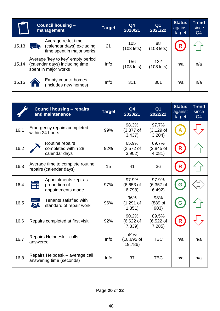|       | <b>Council housing -</b><br>management                                                      | <b>Target</b> | Q <sub>4</sub><br>2020/21 | Q <sub>1</sub><br>2021/22 | <b>Status</b><br>against<br>target | <b>Trend</b><br>since<br>Q <sub>4</sub> |
|-------|---------------------------------------------------------------------------------------------|---------------|---------------------------|---------------------------|------------------------------------|-----------------------------------------|
| 15.13 | Average re-let time<br><b>REA</b><br>(calendar days) excluding<br>time spent in major works | 21            | 105<br>$(103$ lets)       | 88<br>$(108$ lets)        | $\mathsf{R}$                       |                                         |
| 15.14 | Average 'key to key' empty period<br>(calendar days) including time<br>spent in major works | Info          | 156<br>$(103$ lets)       | 122<br>(108 lets)         | n/a                                | n/a                                     |
| 15.15 | Empty council homes<br>(includes new homes)                                                 | Info          | 311                       | 301                       | n/a                                | n/a                                     |

|      | <b>Council housing - repairs</b><br>and maintenance               | <b>Target</b> | Q <sub>4</sub><br>2020/21      | Q <sub>1</sub><br>2022/22       | <b>Status</b><br>against<br>target | <b>Trend</b><br>since<br>Q4 |
|------|-------------------------------------------------------------------|---------------|--------------------------------|---------------------------------|------------------------------------|-----------------------------|
| 16.1 | <b>Emergency repairs completed</b><br>within 24 hours             | 99%           | 98.3%<br>$(3,377$ of<br>3,437) | 97.7%<br>$(3, 129$ of<br>3,204) |                                    |                             |
| 16.2 | Routine repairs<br>completed within 28<br>calendar days           | 92%           | 65.9%<br>$(2,572$ of<br>3,902) | 69.7%<br>$(2,845$ of<br>4,081)  |                                    |                             |
| 16.3 | Average time to complete routine<br>repairs (calendar days)       | 15            | 41                             | 36                              | R                                  |                             |
| 16.4 | Appointments kept as<br>proportion of<br>EEE<br>appointments made | 97%           | 97.9%<br>$(6,653$ of<br>6,798) | 97.9%<br>$(6,357$ of<br>6,492)  | G                                  |                             |
| 16.5 | Tenants satisfied with<br>standard of repair work                 | 96%           | 96%<br>$(1,291$ of<br>1,351)   | 98%<br>(889 of<br>903)          | G                                  |                             |
| 16.6 | Repairs completed at first visit                                  | 92%           | 90.2%<br>$(6,622$ of<br>7,339) | 89.5%<br>$(6,522$ of<br>7,285   |                                    |                             |
| 16.7 | Repairs Helpdesk - calls<br>answered                              | Info          | 94%<br>$(18,695$ of<br>19,786) | <b>TBC</b>                      | n/a                                | n/a                         |
| 16.8 | Repairs Helpdesk – average call<br>answering time (seconds)       | Info          | 37                             | <b>TBC</b>                      | n/a                                | n/a                         |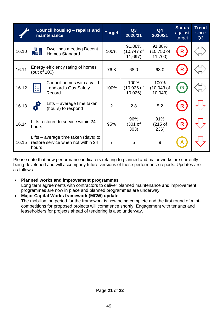|       |                                              | <b>Council housing – repairs and</b><br>maintenance                        | <b>Target</b>  | Q3<br>2020/21                      | Q <sub>4</sub><br>2020/21          | <b>Status</b><br>against<br>target | <b>Trend</b><br>since<br>Q3 |
|-------|----------------------------------------------|----------------------------------------------------------------------------|----------------|------------------------------------|------------------------------------|------------------------------------|-----------------------------|
| 16.10 | 畾                                            | <b>Dwellings meeting Decent</b><br><b>Homes Standard</b>                   | 100%           | 91.88%<br>$(10,747)$ of<br>11,697) | 91.88%<br>$(10,750)$ of<br>11,700) | $\mathbf R$                        |                             |
| 16.11 | (out of 100)                                 | Energy efficiency rating of homes                                          | 76.8           | 68.0                               | 68.0                               | R                                  |                             |
| 16.12 | <b>KKK</b>                                   | Council homes with a valid<br><b>Landlord's Gas Safety</b><br>Record       | 100%           | 100%<br>$(10,026$ of<br>10,026     | 100%<br>$(10,043$ of<br>10,043     | G                                  |                             |
| 16.13 |                                              | Lifts – average time taken<br>(hours) to respond                           | $\overline{2}$ | 2.8                                | 5.2                                | R                                  |                             |
| 16.14 | Lifts restored to service within 24<br>hours |                                                                            | 95%            | 96%<br>(301 of<br>303)             | 91%<br>$(215$ of<br>236)           | R                                  |                             |
| 16.15 | hours                                        | Lifts – average time taken (days) to<br>restore service when not within 24 | 7              | 5                                  | 9                                  | А                                  |                             |

Please note that new performance indicators relating to planned and major works are currently being developed and will accompany future versions of these performance reports. Updates are as follows:

• **Planned works and improvement programmes** Long term agreements with contractors to deliver planned maintenance and improvement programmes are now in place and planned programmes are underway.

• **Major Capital Works framework (MCW) update** The mobilisation period for the framework is now being complete and the first round of minicompetitions for proposed projects will commence shortly. Engagement with tenants and leaseholders for projects ahead of tendering is also underway.